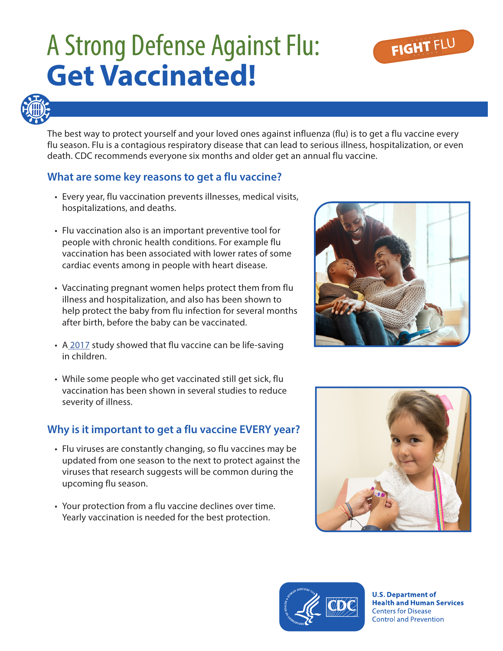# A Strong Defense Against Flu: **Get Vaccinated!**





The best way to protect yourself and your loved ones against influenza (flu) is to get a flu vaccine every flu season. Flu is a contagious respiratory disease that can lead to serious illness, hospitalization, or even death. CDC recommends everyone six months and older get an annual flu vaccine.

## **What are some key reasons to get a flu vaccine?**

- Every year, flu vaccination prevents illnesses, medical visits, hospitalizations, and deaths.
- Flu vaccination also is an important preventive tool for people with chronic health conditions. For example flu vaccination has been associated with lower rates of some cardiac events among in people with heart disease.
- Vaccinating pregnant women helps protect them from flu illness and hospitalization, and also has been shown to help protect the baby from flu infection for several months after birth, before the baby can be vaccinated.
- A [2017](http://pediatrics.aappublications.org/content/early/2017/03/30/peds.2016-4244) study showed that flu vaccine can be life-saving in children.
- While some people who get vaccinated still get sick, flu vaccination has been shown in several studies to reduce severity of illness.

## **Why is it important to get a flu vaccine EVERY year?**

- Flu viruses are constantly changing, so flu vaccines may be updated from one season to the next to protect against the viruses that research suggests will be common during the upcoming flu season.
- Your protection from a flu vaccine declines over time. Yearly vaccination is needed for the best protection.







**U.S. Department of Health and Human Services Centers for Disease Control and Prevention**